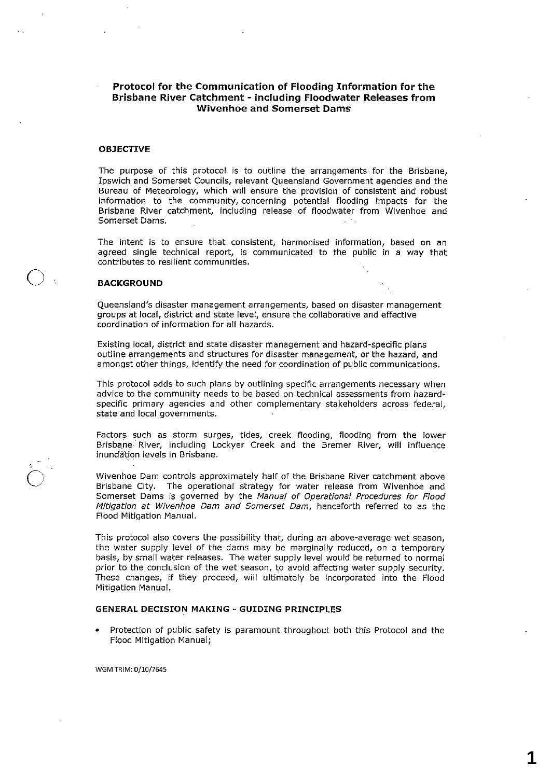## **Protocol for the Communication of Flooding Information for the Brisbane River Catchment - including Floodwater Releases from Wivenhoe and Somerset Dams**

## **OBJECTIVE**

The purpose of this protocol is to outline the arrangements for the Brisbane, Ipswich and Somerset Councils, relevant Queensland Government agencies and the Bureau of Meteorology, which will ensure the provision of consistent and robust information to the community, concerning potential flooding impacts for the Brisbane River catchment, including release of floodwater from Wivenhoe and Somerset Dams.

The intent is to ensure that consistent, harmonised information, based on an agreed single technical report, is communicated to the public in a way that contributes to resilient communities.

### **BACKGROUND**

o

Queensland's disaster management arrangements, based on disaster management groups at local, district and state level, ensure the collaborative and effective coordination of information for all hazards.

Existing local, district and state disaster management and hazard-specific plans outline arrangements and structures for disaster management, or the hazard, and amongst other things, identify the need for coordination of public communications.

This protocol adds to such plans by outlining specific arrangements necessary when advice to the community needs to be based on technical assessments from hazardspecific primary agencies and other complementary stakeholders across federal, state and local governments.

Factors such as storm surges, tides, creek flooding, flooding from the lower Brisbane River, including Lockyer Creek and the Bremer River, will influence inundation levels in Brisbane.

Wivenhoe Dam controls approximately half of the Brisbane River catchment above Brisbane City. The operational strategy for water release from Wivenhoe and Somerset Dams is governed by the Manual of Operational Procedures for Flood Mitigation at Wivenhoe Dam and Somerset Dam, henceforth referred to as the Flood Mitigation Manual.

This protocol also covers the possibility that, during an above-average wet season, the water supply level of the dams may be marginally reduced, on a temporary basis, by small water releases. The water supply level would be returned to normal prior to the conclusion of the wet season, to avoid affecting water supply security. These changes, **if** they proceed, will ultimately be incorporated into the Flood Mitigation Manual.

## **GENERAL DECISION MAKING - GUIDING PRINCIPLES**

• Protection of public safety is paramount throughout both this Protocol and the Flood Mitigation Manual;

WGM TRIM: 0/10/7645

**1**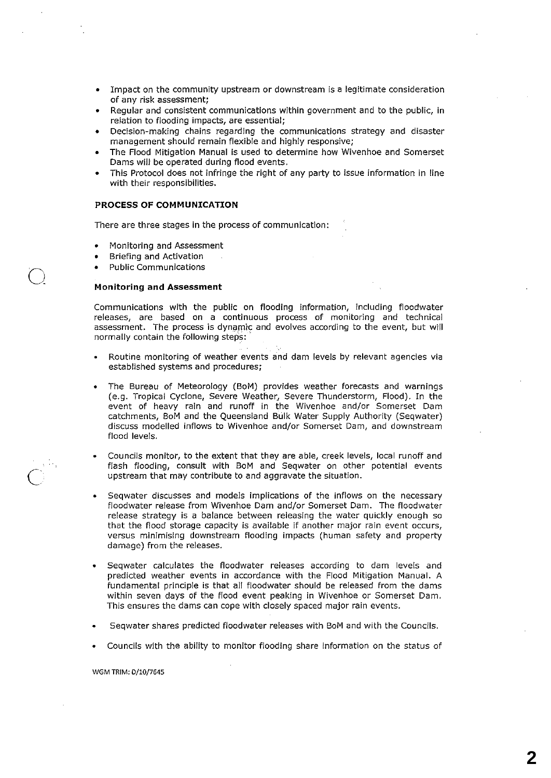- Impact on the community upstream or downstream is a legitimate consideration of any risk assessment;
- Regular and consistent communications within government and to the public, in relation to flooding impacts, are essential;
- Decision-making chains regarding the communications strategy and disaster management should remain flexible and highly responsive;
- The Flood Mitigation Manual is used to determine how Wivenhoe and Somerset Dams will be operated during flood events.
- This Protocol does not infringe the right of any party to issue information in line with their responsibilities.

### **PROCESS OF COMMUNICATION**

There are three stages in the process of communication:

- Monitoring and Assessment
- Briefing and Activation
- Public Communications

o

 $\overline{C}$ 

#### **Monitoring** and **Assessment**

Communications with the public on flooding information, including floodwater releases, are based on a continuous process of monitoring and technical assessment. The process is dynamic and evolves according to the event, but will normally contain the following steps: '.

- Routine monitoring of weather events and dam levels by relevant agencies via established systems and procedures;
- The Bureau of Meteorology (BoM) provides weather forecasts and warnings (e.g. Tropical Cyclone, Severe Weather, Severe Thunderstorm, Flood). In the event of heavy rain and runoff in the Wivenhoe and/or Somerset Dam catchments, BoM and the Queensland Bulk Water Supply Authority (Seqwater) discuss modelled inflows to Wivenhoe and/or Somerset Dam, and downstream flood levels.
- Councils monitor, to the extent that they are able, creek levels, local runoff and flash flooding, consult with BoM and Seqwater on other potential events upstream that may contribute to and aggravate the situation.
- Seqwater discusses and models implications of the inflows on the necessary floodwater release from Wivenhoe Dam and/or Somerset Dam. The floodwater release strategy is a balance between releasing the water quickly enough so that the flood storage capacity is available if another major rain event occurs, versus minimising downstream flooding impacts (human safety and property damage) from the releases.
- Seqwater calculates the floodwater releases according to dam levels and predicted weather events in accordance with the Flood Mitigation Manual. A fundamental principle is that all floodwater should be released from the dams within seven days of the flood event peaking in Wivenhoe or Somerset Dam. This ensures the dams can cope with closely spaced major rain events.
- Seqwater shares predicted floodwater releases with BoM and with the Councils.
- Councils with the ability to monitor flooding share information on the status of

#### WGM TRIM: 0/10/7645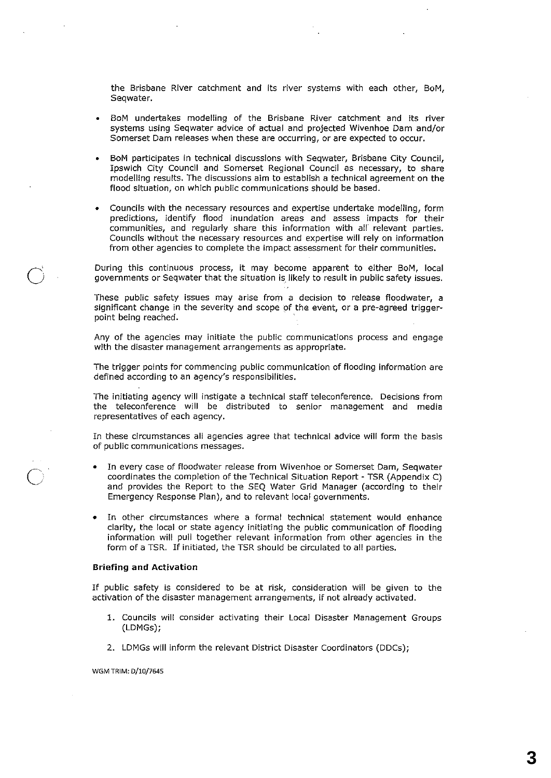the Brisbane River catchment and its river systems with each other, BoM, Seqwater.

- BoM undertakes modelling of the Brisbane River catchment and its river systems using Seqwater advice of actual and projected Wivenhoe Dam and/or Somerset Dam releases when these are occurring, or are expected to occur.
- BoM participates in technical discussions with Seqwater, Brisbane City Council, Ipswich City Council and Somerset Regional Council as necessary, to share modelling results. The discussions aim to establish a technical agreement on the flood situation, on which public communications should be based.
- Councils with the necessary resources and expertise undertake modelling, form predictions, identify flood inundation areas and assess impacts for their communities, and regularly share this information with all relevant parties. Councils without the necessary resources and expertise will rely on information from other agencies to complete the impact assessment for their communities.

During this continuous process, it may become apparent to either BoM, local *governments* or Seqwater that the situation is. likely to result in public safety issues.

These public safety issues may arise from a decision to release floodwater, a significant change in the severity and scope pf the event, or a pre-agreed triggerpoint being reached.

Any of the agencies may initiate the public communications process and engage with the disaster management arrangements as appropriate.

The trigger points for commencing public communication of flooding information are defined according to an agency's responsibilities.

The initiating agency will instigate a technical staff teleconference. Decisions from the teleconference will be distributed to senior management and media representatives of each agency.

In these circumstances all agencies agree that technical advice will form the basis of public communications messages.

- In *every* case of floodwater release from Wivenhoe or Somerset Dam, Seqwater coordinates the completion of the Technical Situation Report - TSR (Appendix C) and provides the Report to the SEQ Water Grid Manager (according to their Emergency Response Plan), and to relevant local governments.
- In other circumstances where a formal technical statement would enhance clarity, the local or state agency initiating the public communication of flooding information will pull together relevant information from other agencies in the form of a TSR. If initiated, the TSR should be circulated to all parties.

#### **Briefing and Activation**

 $\overrightarrow{O}$ 

 $\bigodot$ 

If public safety is considered to be at risk, consideration will be given to the activation of the disaster management arrangements, if not already activated.

- 1. Councils will consider activating their Local Disaster Management Groups (LDMGs);
- 2. LDMGs will inform the relevant District Disaster Coordinators (DDCs);

WGM TRIM: 0/10/7645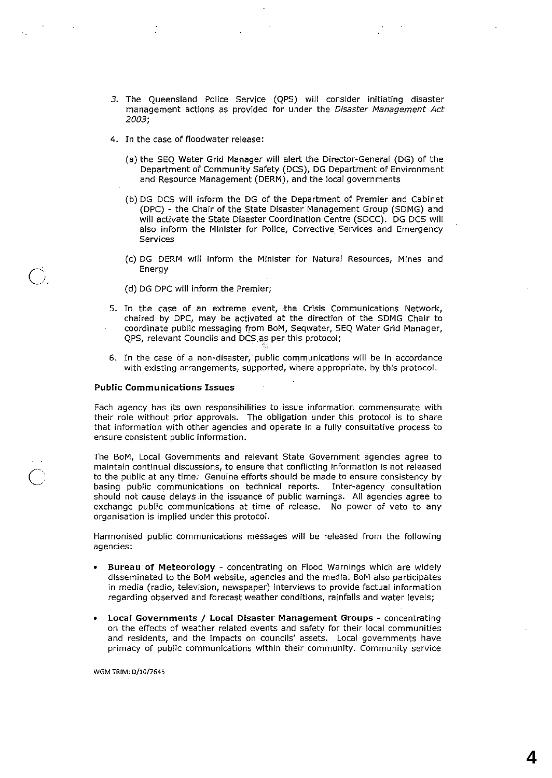- 3. The Queensland Police Service (QPS) will consider initiating disaster management actions as provided for under the Disaster Management Act 2003;
- 4. In the case of floodwater release:
	- (a) the SEQ Water Grid Manager will alert the Director-General (DG) of the Department of Community Safety (DCS), DG Department of Environment and Resource Management (DERM), and the local governments
	- Cb) DG DCS will inform the DG of the Department of Premier and Cabinet (DPC) - the Chair of the State Disaster Management Group (SDMG) and will activate the State Disaster Coordination Centre (SDCC). DG DCS will also inform the Minister for Police, Corrective Services and Emergency Services
	- (c) DG DERM will inform the Minister for Natural Resources, Mines and Energy
	- (d) DG DPC will inform the Premier;
- 5. In the case of an extreme event, .the Crisis Communications Network, chaired by DPC, may be activated at the direction of the SDMG Chair to coordinate public messaging from BoM, Seqwater, SEQ Water Grid Manager, QPS, relevant Councils and DCS as per this protocol;
- 6. In the case of a non-disaster, public communications will be in accordance with existing arrangements, supported, where appropriate, by this protocol.

### Public Communications Issues

Q.

 $\overline{C}$ 

Each agency has its own responsibilities to ·issue information commensurate with their role without prior approvals. The obligation under this protocol is to share that information with other agencies and operate in a fully consultative process to ensure consistent public information.

The BoM, Local Governments and relevant State Government agencies agree to maintain continual discussions, to ensure that conflicting information is not released to the public at any time. Genuine efforts should be made to ensure consistency by basing public communications on technical reports. Inter-agency consultation should not cause delays in the issuance of public warnings. All agencies agree to exchange public communications at time of release. No power of veto to any organisation is implied under this protocol.

Harmonised public communications messages will be released from the following agencies:

- Bureau of Meteorology concentrating on Flood Warnings which are widely disseminated to the BoM website, agencies and the media. BoM also participates in media (radio, television, newspaper) interviews to provide factual information regarding observed and forecast weather conditions, rainfalls and water levels;
- Local Governments / Local Disaster Management Groups concentrating on the effects of weather related events and safety for their local communities and residents, and the impacts on councils' assets. Local governments have primacy of public communications within their community. Community service

WGM TRIM: D/10/7645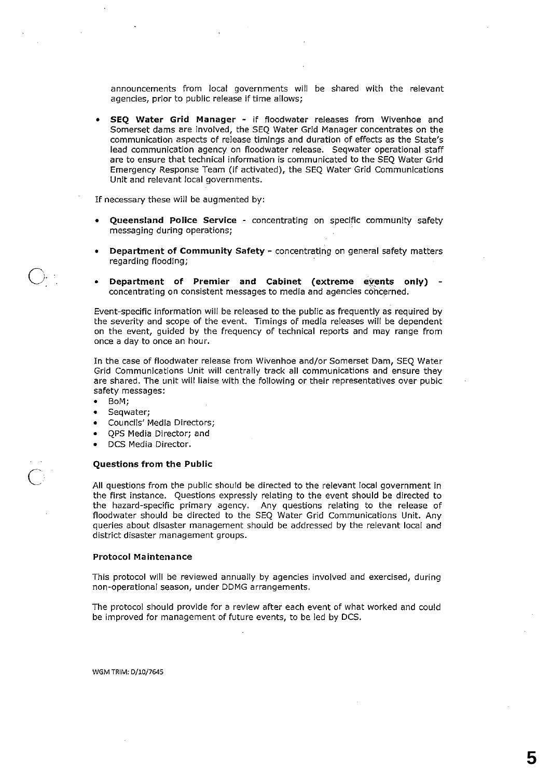announcements from local governments will be shared with the relevant agencies, prior to public release if time allows;

• SEQ Water Grid Manager - if floodwater releases from Wivenhoe and Somerset dams are involved, the SEQ Water Grid Manager concentrates on the communication aspects of release timings and duration of effects as the State's lead communication agency on floodwater release. Seqwater operational staff are to ensure that technical information is communicated to the SEQ Water Grid Emergency Response Team (if activated), the SEQ Water Grid Communications Unit and relevant local governments.

If necessary these will be augmented by:

- Queensland Police Service concentrating on specific community safety messaging during operations;
- Department of Community Safety concentrating on general safety matters regarding flooding;
- Department of Premier and Cabinet (extreme events only) concentrating on consistent messages to media and agencies concerned.

Event-specific information will be released to the public as frequently as required by the severity and scope of the event. Timings of media releases will be dependent on the event, guided by the frequency of technical reports and may range from once a day to once an hour.

In the case of floodwater release from Wivenhoe and/or Somerset Dam, SEQ Water Grid Communications Unit will centrally track all communications and ensure they are shared. The unit will liaise with the following or their representatives over pubic safety messages:

**• BoM;** 

 $\bigcirc$ .

 $\overline{C}$ 

- **Seqwater;**
- Councils' Media Directors;
- QPS Media Director; and
- DCS Media Director.

#### Questions from the Public

All questions from the public should be directed to the relevant local government in the first instance. Questions expressly relating to the event should be directed to the hazard-specific primary agency. Any questions relating to the release of floodwater should be directed to the SEQ Water Grid Communications Unit. Any queries about disaster management should be addressed by the relevant local and district disaster management groups.

#### Protocol Maintenance

This protocol will be reviewed annually by agencies involved and exercised, during non-operational season, under DDMG arrangements.

The protocol should provide for a review after each event of what worked and could be improved for management of future events, to be led by DCS.

WGM TRIM: D/10/7645

**5**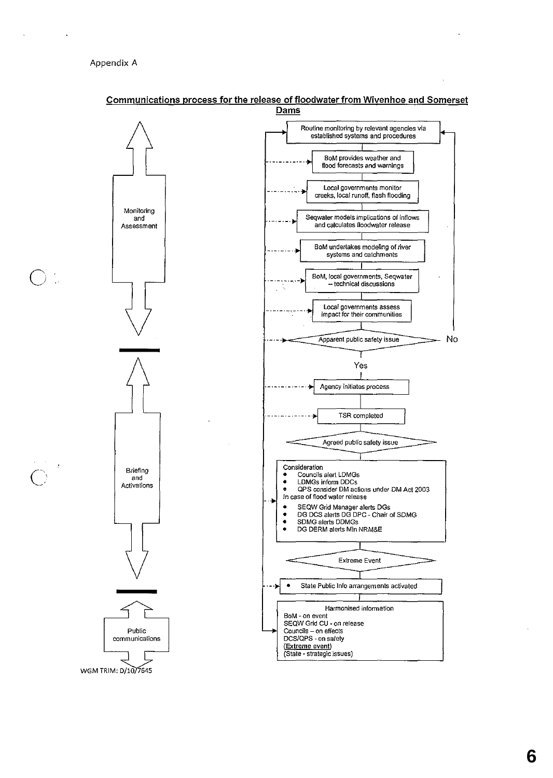o

 $\bigcirc$ 



## Communications process for the release of floodwater from Wivenhoe and Somerset Dams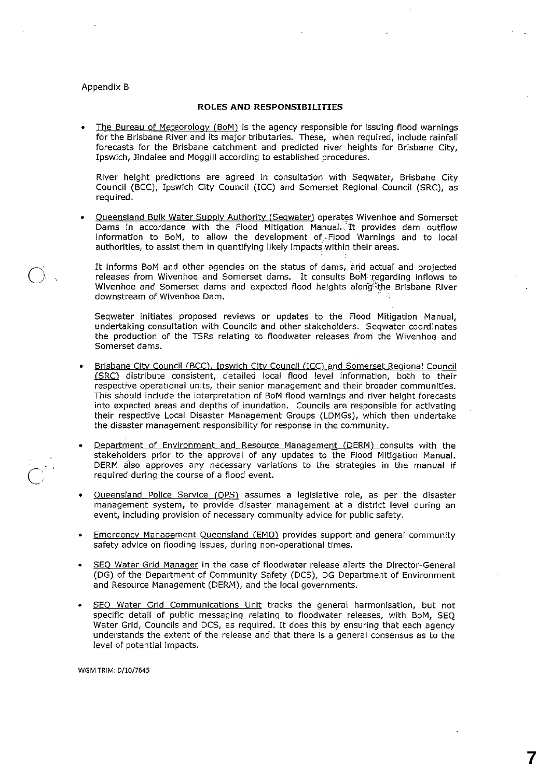## Appendix B

 $\overline{O}$ 

 $\bigcirc$ 

### **ROLES AND RESPONSIBILITIES**

The Bureau of Meteorology (BoM) is the agency responsible for issuing flood warnings for the Brisbane River and its major tributaries. These, when required, include rainfall forecasts for the Brisbane catchment and predicted river heights for Brisbane City, Ipswich, Jindalee and Moggill according to established procedures.

River height predictions are agreed in consultation with Seqwater, Brisbane City Council (BCC), Ipswich City Council (ICC) and Somerset Regional Council (SRC), as required.

• Queensland **Bulk** Water Supply Authority (Segwater) operates Wivenhoe and Somerset Dams in accordance with the Flood Mitigation Manual. It provides dam outflow information to BoM, to allow the development of..Flood Warnings and to local authorities, to assist them in quantifying likely impacts within their areas.

It informs BoM and other agencies on the status of dams, arid actual and projected releases from Wivenhoe and Somerset dams. It consults BoM: Tegarding inflows to Wivenhoe and Somerset dams and expected flood heights along the Brisbane River downstream of Wivenhoe Dam. .

Seqwater initiates proposed reviews or updates to the Flood Mitigation Manual, undertaking consultation with Councils and other stakeholders. Seqwater coordinates the production of the TSRs relating to floodwater releases from the Wivenhoe and Somerset dams.

- Brisbane City Council (BCC). Ipswich City Council (ICC) and Somerset Regional Council (SRC) distribute consistent, detailed local flood level information, both to their respective operational units, their senior management and their broader communities. This should include the interpretation of BoM flood warnings and river height forecasts into expected areas and depths of inundation. Councils are responsible for activating their respective Local Disaster Management Groups (LDMGs), which then undertake the disaster management responsibility for response in the community.
- Department of Environment and Resource Management (DERM) consults with the stakeholders prior to the approval of any updates to the Flood Mitigation Manual. DERM also approves any necessary variations to the strategies in the manual if required during the course of a flood event.
- Queensland Police Service (QPS) assumes a legislative role, as per the disaster management system, to provide disaster management at a district level during an event, including provision of necessary community advice for public safety.
- **Emergency Management Queensland (EMQ)** provides support and general community safety advice on flooding issues, during non-operational times.
- SEQ Water Grid Manager in the case of floodwater release alerts the Director-General (DG) of the Department of Community Safety (DCS), DG Department of Environment and Resource Management (DERM), and the local governments.
- SEQ Water Grid Communications Unit tracks the general harmonisation, but not specific detail of public messaging relating to floodwater releases, with BoM, SEQ Water Grid, Councils and DCS, as required. It does this by ensuring that each agency understands the extent of the release and that there is a general consensus as to the level of potential impacts.

**7**

WGM TRIM: D/1O/7645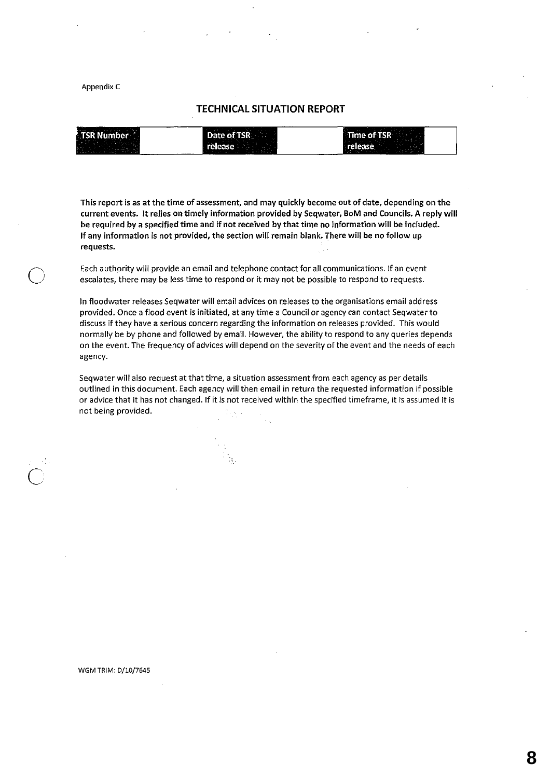### Appendix C

o

## **TECHNICAL SITUATION REPORT**

| --<br>.<br><b>STATISTICS</b>                                                                                                                                                                                                         |                   | $\sim$                   |
|--------------------------------------------------------------------------------------------------------------------------------------------------------------------------------------------------------------------------------------|-------------------|--------------------------|
| <b>TSR Number</b>                                                                                                                                                                                                                    | Date of TSR       | Time of TSR <sup>.</sup> |
|                                                                                                                                                                                                                                      |                   |                          |
|                                                                                                                                                                                                                                      |                   |                          |
| <b>Contract of the Contract of the Contract of the Contract of the Contract of the Contract of the Contract of the Contract of the Contract of the Contract of the Contract of the Contract of the Contract of the Contract of t</b> | month of the pro- |                          |

This report is as at the time of assessment, and may quickly become out of date, depending on the current events. It relies on timely information provided by Seqwater, BoM and Councils. A reply will be required by a specified time and if not received by that time no information will be included. **If** any information is not provided, the section will remain blank. There will be no follow up requests.

Each authority will provide an email and telephone contact for all communications. If an event escalates, there may be less time to respond or it may not be possible to respond to requests.

**In** floodwater releases Seqwater will email advices on releases to the organisations email address provided. Once a flood event is initiated, at any time a Council or agency can contact Seqwater to discuss if they have a serious concern regarding the information on releases provided. This would normally be by phone and followed by email. However, the ability to respond to any queries depends on the event. The frequency of advices will depend on the severity of the event and the needs of each agency.

Seqwater will also request at that time, a situation assessment from each agency as per details outlined in this document. Each agency will then email in return the requested information if possible or advice that it has not changed. If it is.not received within the specified timeframe, it is assumed it is not being provided.

#### WGM TRIM: 0/10/7645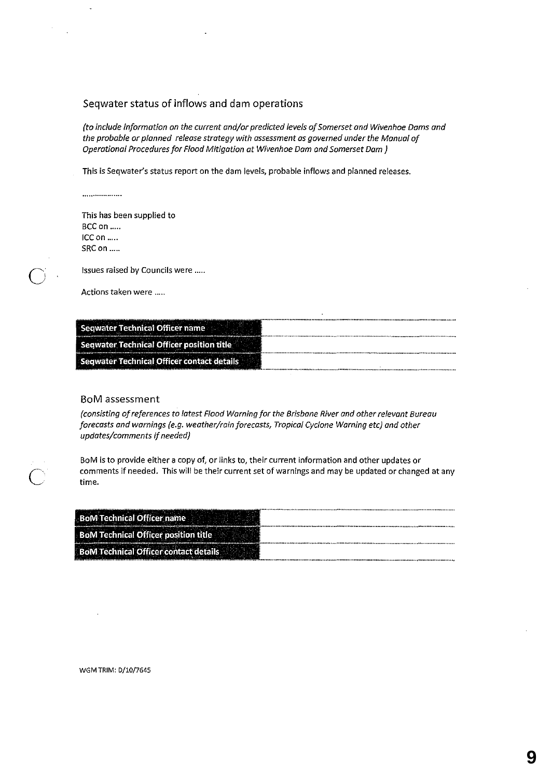# Seqwater status of inflows and dam operations

*(to include information on the current and/or predicted levels of Somerset ond Wivenhoe Dams and the probable or planned release strategy with assessment as governed under the Manual of Operational Procedures for Flood Mitigation at Wivenhoe Dam and Somerset Dam)* 

This is Seqwater's status report on the dam levels, probable inflows and planned releases.

..................

J.

o

 $\overline{C}$ 

This has been supplied to BCC on ..... ICCon .... . SRC on .....

Issues raised by Councils were .....

Actions taken were .....

| ,,,,,,,,,,,,,,,,,,,<br>$\sim$ or neutron $\sim$          |
|----------------------------------------------------------|
| Officer position title $\,$<br>Seqwater Technical O<br>. |
|                                                          |

## BoM assessment

*(consisting of references* to *latest Flood Warning for the Brisbane River and other relevant Bureau forecasts and warnings (e.g. weather/rain forecasts, Tropical Cyclone Warning etc) and other updates/comments* if *needed)* 

BoM is to provide either a copy of, or links to, their current information and other updates or comments if needed. This will be their current set of warnings and may be updated or changed at any **time.** 

| _____<br>.                        |  |
|-----------------------------------|--|
|                                   |  |
| the property and property of<br>. |  |